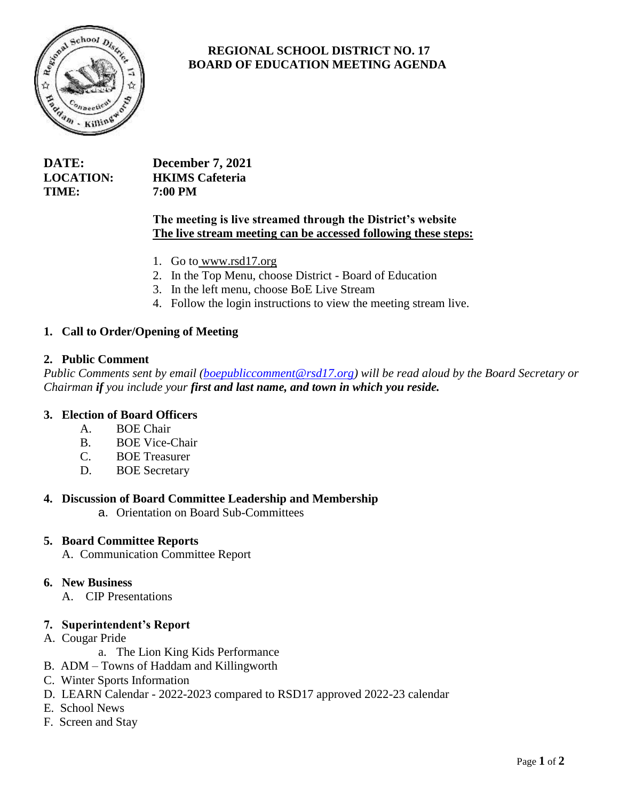

# **REGIONAL SCHOOL DISTRICT NO. 17 BOARD OF EDUCATION MEETING AGENDA**

| DATE:            | <b>December 7, 2021</b> |
|------------------|-------------------------|
| <b>LOCATION:</b> | <b>HKIMS</b> Cafeteria  |
| TIME:            | 7:00 PM                 |

# **The meeting is live streamed through the District's website The live stream meeting can be accessed following these steps:**

- 1. Go to [www.rsd17.org](http://www.rsd17.org/)
- 2. In the Top Menu, choose District Board of Education
- 3. In the left menu, choose BoE Live Stream
- 4. Follow the login instructions to view the meeting stream live.

# **1. Call to Order/Opening of Meeting**

#### **2. Public Comment**

*Public Comments sent by email [\(boepubliccomment@rsd17.org\)](mailto:boepubliccomment@rsd17.org) will be read aloud by the Board Secretary or Chairman if you include your first and last name, and town in which you reside.* 

#### **3. Election of Board Officers**

- A. BOE Chair
- B. BOE Vice-Chair
- C. BOE Treasurer
- D. BOE Secretary

#### **4. Discussion of Board Committee Leadership and Membership**

a. Orientation on Board Sub-Committees

#### **5. Board Committee Reports**

A. Communication Committee Report

#### **6. New Business**

A.CIP Presentations

#### **7. Superintendent's Report**

- A. Cougar Pride
	- a. The Lion King Kids Performance
- B. ADM Towns of Haddam and Killingworth
- C. Winter Sports Information
- D. LEARN Calendar 2022-2023 compared to RSD17 approved 2022-23 calendar
- E. School News
- F. Screen and Stay